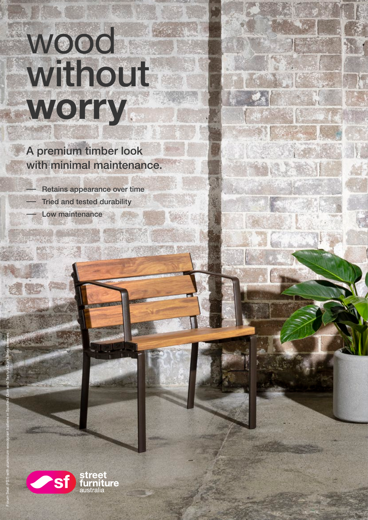# wood without worry.

# A premium timber look with minimal maintenance.

- Retains appearance over time Tried and tested durability
	- Low maintenance



Forum Seat (FS7) with aluminium woodgrain battens in Spotted Gum and Textura Dark Bronze frames.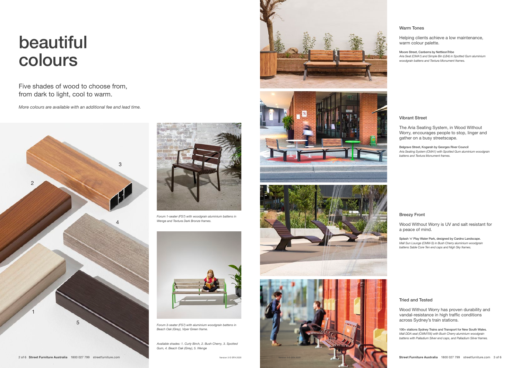# Vibrant Street

The Aria Seating System, in Wood Without Worry, encourages people to stop, linger and gather on a busy streetscape.

Belgrave Street, Kogarah by Georges River Council Aria Seating System (CMA1) with Spotted Gum aluminium woodgrain battens and Textura Monument frames.

# Tried and Tested

Wood Without Worry has proven durability and vandal-resistance in high traffic conditions across Sydney's train stations.

100+ stations Sydney Trains and Transport for New South Wales. Mall DDA seat (CMM705) with Bush Cherry aluminium woodgrain battens with Palladium Silver end caps, and Palladium Silver frames.

# Warm Tones

Helping clients achieve a low maintenance, warm colour palette.

Moore Street, Canberra by NettleonTribe Aria Seat (CMA1) and Simple Bin (LB4) in Spotted Gum aluminium woodgrain battens and Textura Monument frames.

## Breezy Front

Wood Without Worry is UV and salt resistant for a peace of mind.

Splash 'n' Play Water Park, designed by Cardno Landscape. Mall Sun Lounge (CMM-S) in Bush Cherry aluminium woodgrain battens Sable Core Ten end caps and Nigh Sky frames.

# beautiful colours

Five shades of wood to choose from, from dark to light, cool to warm.



Forum 1-seater (FS7) with woodgrain aluminium battens in Wenge and Textura Dark Bronze frames.



Forum 3-seater (FS7) with aluminium woodgrain battens in Beach Oak (Grey), Viper Green frame.

Available shades: 1. Curly Birch, 2. Bush Cherry, 3. Spotted Gum, 4. Beach Oak (Grey), 5. Wenge







More colours are available with an additional fee and lead time.

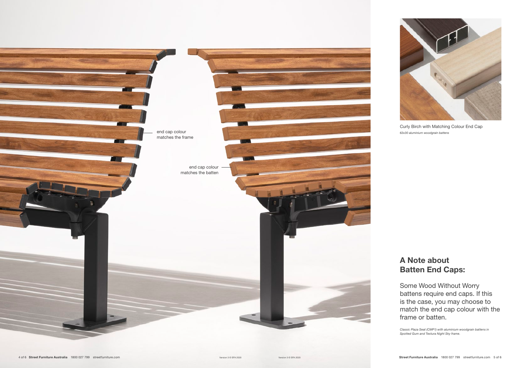# A Note about Batten End Caps:

Some Wood Without Worry battens require end caps. If this is the case, you may choose to match the end cap colour with the frame or batten.

end cap colour matches the frame

> end cap colour matches the batten



Classic Plaza Seat (CMP1) with aluminium woodgrain battens in Spotted Gum and Textura Night Sky frame.

Curly Birch with Matching Colour End Cap 63x30 aluminium woodgrain battens